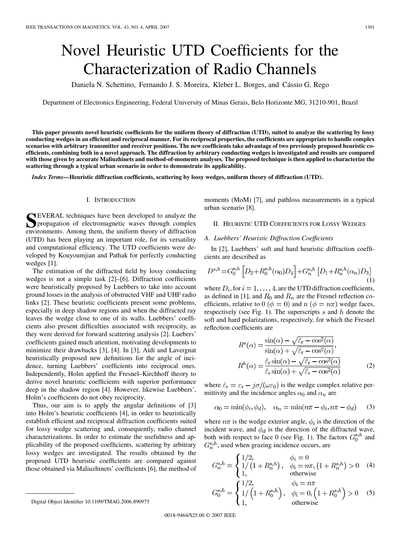# <span id="page-0-0"></span>Novel Heuristic UTD Coefficients for the Characterization of Radio Channels

Daniela N. Schettino, Fernando J. S. Moreira, Kleber L. Borges, and Cássio G. Rego

Department of Electronics Engineering, Federal University of Minas Gerais, Belo Horizonte MG, 31210-901, Brazil

**This paper presents novel heuristic coefficients for the uniform theory of diffraction (UTD), suited to analyze the scattering by lossy conducting wedges in an efficient and reciprocal manner. For its reciprocal properties, the coefficients are appropriate to handle complex scenarios with arbitrary transmitter and receiver positions. The new coefficients take advantage of two previously proposed heuristic coefficients, combining both in a novel approach. The diffraction by arbitrary conducting wedges is investigated and results are compared with those given by accurate Maliuzhinets and method-of-moments analyses. The proposed technique is then applied to characterize the scattering through a typical urban scenario in order to demonstrate its applicability.**

*Index Terms—***Heuristic diffraction coefficients, scattering by lossy wedges, uniform theory of diffraction (UTD).**

## I. INTRODUCTION

**S**EVERAL techniques have been developed to analyze the propagation of electromagnetic waves through complex environments. Among them, the uniform theory of diffraction (UTD) has been playing an important role, for its versatility and computational efficiency. The UTD coefficients were developed by Kouyoumjian and Pathak for perfectly conducting wedges [\[1\].](#page-3-0)

The estimation of the diffracted field by lossy conducting wedges is not a simple task [\[2\]–\[6\]](#page-3-0). Diffraction coefficients were heuristically proposed by Luebbers to take into account ground losses in the analysis of obstructed VHF and UHF radio links [\[2\].](#page-3-0) These heuristic coefficients present some problems, especially in deep shadow regions and when the diffracted ray leaves the wedge close to one of its walls. Luebbers' coefficients also present difficulties associated with reciprocity, as they were derived for forward scattering analysis [\[2\].](#page-3-0) Luebers' coefficients gained much attention, motivating developments to minimize their drawbacks [\[3\]](#page-3-0), [\[4\].](#page-3-0) In [\[3\],](#page-3-0) Aïdi and Lavergnat heuristically proposed new definitions for the angle of incidence, turning Luebbers' coefficients into reciprocal ones. Independently, Holm applied the Fresnel–Kirchhoff theory to derive novel heuristic coefficients with superior performance deep in the shadow region [\[4\]](#page-3-0). However, likewise Luebbers', Holm's coefficients do not obey reciprocity.

Thus, our aim is to apply the angular definitions of [\[3\]](#page-3-0) into Holm's heuristic coefficients [\[4\]](#page-3-0), in order to heuristically establish efficient and reciprocal diffraction coefficients suited for lossy wedge scattering and, consequently, radio channel characterizations. In order to estimate the usefulness and applicability of the proposed coefficients, scattering by arbitrary lossy wedges are investigated. The results obtained by the proposed UTD heuristic coefficients are compared against those obtained via Maliuzhinets' coefficients [\[6\],](#page-3-0) the method of

# II. HEURISTIC UTD COEFFICIENTS FOR LOSSY WEDGES

## *A. Luebbers' Heuristic Diffraction Coefficients*

In [\[2\],](#page-3-0) Luebbers' soft and hard heuristic diffraction coefficients are described as

$$
D^{s,h} = G_0^{s,h} \left[ D_2 + R_0^{s,h}(\alpha_0) D_4 \right] + G_n^{s,h} \left[ D_1 + R_n^{s,h}(\alpha_n) D_3 \right] \tag{1}
$$

where  $D_i$ , for  $i = 1, \ldots, 4$ , are the UTD diffraction coefficients, as defined in [\[1\],](#page-3-0) and  $R_0$  and  $R_n$  are the Fresnel reflection coefficients, relative to 0 ( $\phi = 0$ ) and  $n (\phi = n\pi)$  wedge faces, respectively (see [Fig. 1\)](#page-1-0). The superscripts  $s$  and  $h$  denote the soft and hard polarizations, respectively, for which the Fresnel reflection coefficients are

$$
R^{s}(\alpha) = \frac{\sin(\alpha) - \sqrt{\hat{\varepsilon}_{\rm r} - \cos^{2}(\alpha)}}{\sin(\alpha) + \sqrt{\hat{\varepsilon}_{\rm r} - \cos^{2}(\alpha)}},
$$
  
\n
$$
R^{h}(\alpha) = \frac{\hat{\varepsilon}_{\rm r} \sin(\alpha) - \sqrt{\hat{\varepsilon}_{\rm r} - \cos^{2}(\alpha)}}{\hat{\varepsilon}_{\rm r} \sin(\alpha) + \sqrt{\hat{\varepsilon}_{\rm r} - \cos^{2}(\alpha)}} \tag{2}
$$

where  $\hat{\varepsilon}_{\rm r} = \varepsilon_{\rm r} - j\sigma/(\omega \varepsilon_0)$  is the wedge complex relative permittivity and the incidence angles  $\alpha_0$  and  $\alpha_n$  are

$$
\alpha_0 = \min(\phi_i, \phi_d), \quad \alpha_n = \min(n\pi - \phi_i, n\pi - \phi_d) \tag{3}
$$

where  $n\pi$  is the wedge exterior angle,  $\phi_i$  is the direction of the incident wave, and  $\phi_d$  is the direction of the diffracted wave, both with respect to face 0 (see [Fig. 1](#page-1-0)). The factors  $G_0^{s,h}$  and  $G_n^{s,h}$ , used when grazing incidence occurs, are

$$
G_n^{s,h} = \begin{cases} 1/2, & \phi_i = 0 \\ 1/((1 + R_n^{s,h}), & \phi_i = n\pi, (1 + R_n^{s,h}) > 0 \\ 1, & \text{otherwise} \end{cases}
$$
(4)  

$$
G_0^{s,h} = \begin{cases} 1/2, & \phi_i = n\pi \\ 1/((1 + R_0^{s,h}), & \phi_i = 0, (1 + R_0^{s,h}) > 0 \\ 1, & \text{otherwise} \end{cases}
$$
(5)

moments (MoM) [\[7\],](#page-3-0) and pathloss measurements in a typical urban scenario [\[8\]](#page-3-0).

Digital Object Identifier 10.1109/TMAG.2006.890975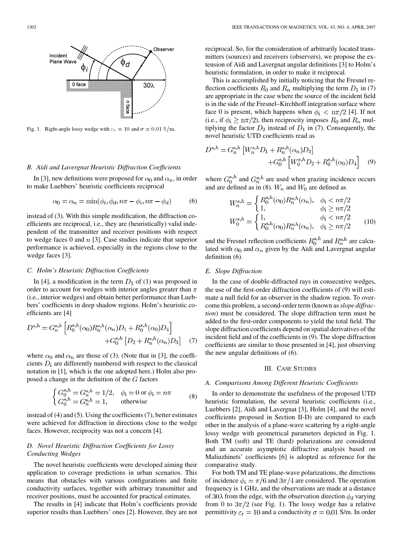<span id="page-1-0"></span>

Fig. 1. Right-angle lossy wedge with  $\varepsilon_r = 10$  and  $\sigma = 0.01$  S/m.

#### *B. Aïdi and Lavergnat Heuristic Diffraction Coefficients*

In [\[3\],](#page-3-0) new definitions were proposed for  $\alpha_0$  and  $\alpha_n$ , in order to make Luebbers' heuristic coefficients reciprocal

$$
\alpha_0 = \alpha_n = \min(\phi_i, \phi_d, n\pi - \phi_i, n\pi - \phi_d) \tag{6}
$$

instead of [\(3\)](#page-0-0). With this simple modification, the diffraction coefficients are reciprocal, i.e., they are (heuristically) valid independent of the transmitter and receiver positions with respect to wedge faces 0 and  $n$  [\[3\].](#page-3-0) Case studies indicate that superior performance is achieved, especially in the regions close to the wedge faces [\[3\]](#page-3-0).

## *C. Holm's Heuristic Diffraction Coefficients*

In [\[4\]](#page-3-0), a modification in the term  $D_1$  of [\(1\)](#page-0-0) was proposed in order to account for wedges with interior angles greater than  $\pi$ (i.e., interior wedges) and obtain better performance than Luebbers' coefficients in deep shadow regions. Holm's heuristic coefficients are [\[4\]](#page-3-0)

$$
D^{s,h} = G_n^{s,h} \left[ R_0^{s,h}(\alpha_0) R_n^{s,h}(\alpha_n) D_1 + R_0^{s,h}(\alpha_0) D_4 \right] + G_0^{s,h} \left[ D_2 + R_n^{s,h}(\alpha_n) D_3 \right] \tag{7}
$$

where  $\alpha_0$  and  $\alpha_n$  are those of [\(3\).](#page-0-0) (Note that in [\[3\],](#page-3-0) the coefficients  $D_i$  are differently numbered with respect to the classical notation in [\[1\],](#page-3-0) which is the one adopted here.) Holm also proposed a change in the definition of the  $G$  factors

$$
\begin{cases}\nG_0^{s,h} = G_n^{s,h} = 1/2, & \phi_i = 0 \text{ or } \phi_i = n\pi \\
G_0^{s,h} = G_n^{s,h} = 1, & \text{otherwise}\n\end{cases}
$$
\n(8)

instead of [\(4\) and \(5\)](#page-0-0). Using the coefficients (7), better estimates were achieved for diffraction in directions close to the wedge faces. However, reciprocity was not a concern [\[4\].](#page-3-0)

# *D. Novel Heuristic Diffraction Coefficients for Lossy Conducting Wedges*

The novel heuristic coefficients were developed aiming their application to coverage predictions in urban scenarios. This means that obstacles with various configurations and finite conductivity surfaces, together with arbitrary transmitter and receiver positions, must be accounted for practical estimates.

The results in [\[4\]](#page-3-0) indicate that Holm's coefficients provide superior results than Luebbers' ones [\[2\]](#page-3-0). However, they are not reciprocal. So, for the consideration of arbitrarily located transmitters (sources) and receivers (observers), we propose the extension of Aïdi and Lavergnat angular definitions [\[3\]](#page-3-0) to Holm's heuristic formulation, in order to make it reciprocal.

This is accomplished by initially noticing that the Fresnel reflection coefficients  $R_0$  and  $R_n$  multiplying the term  $D_1$  in (7) are appropriate in the case where the source of the incident field is in the side of the Fresnel–Kirchhoff integration surface where face 0 is present, which happens when  $\phi_i < \pi/2$  [\[4\]](#page-3-0). If not (i.e., if  $\phi_i \geq n\pi/2$ ), then reciprocity imposes  $R_0$  and  $R_n$  multiplying the factor  $D_2$  instead of  $D_1$  in (7). Consequently, the novel heuristic UTD coefficients read as

$$
D^{s,h} = G_n^{s,h} \left[ W_n^{s,h} D_1 + R_n^{s,h} (\alpha_n) D_3 \right] + G_0^{s,h} \left[ W_0^{s,h} D_2 + R_0^{s,h} (\alpha_0) D_4 \right] \tag{9}
$$

where  $G_0^{s,h}$  and  $G_n^{s,h}$  are used when grazing incidence occurs and are defined as in (8).  $W_n$  and  $W_0$  are defined as

$$
W_n^{s,h} = \begin{cases} R_0^{s,h}(\alpha_0) R_n^{s,h}(\alpha_n), & \phi_i < n\pi/2\\ 1, & \phi_i \ge n\pi/2 \end{cases}
$$
  

$$
W_0^{s,h} = \begin{cases} 1, & \phi_i < n\pi/2\\ R_0^{s,h}(\alpha_0) R_n^{s,h}(\alpha_n), & \phi_i \ge n\pi/2 \end{cases}
$$
(10)

and the Fresnel reflection coefficients  $R_0^{s,h}$  and  $R_n^{s,h}$  are calculated with  $\alpha_0$  and  $\alpha_n$  given by the Aïdi and Lavergnat angular definition (6).

## *E. Slope Diffraction*

In the case of double-diffracted rays in consecutive wedges, the use of the first-order diffraction coefficients of (9) will estimate a null field for an observer in the shadow region. To overcome this problem, a second-order term (known as*slope diffraction*) must be considered. The slope diffraction term must be added to the first-order components to yield the total field. The slope diffraction coefficients depend on spatial derivatives of the incident field and of the coefficients in (9). The slope diffraction coefficients are similar to those presented in [\[4\]](#page-3-0), just observing the new angular definitions of (6).

#### III. CASE STUDIES

#### *A. Comparisons Among Different Heuristic Coefficients*

In order to demonstrate the usefulness of the proposed UTD heuristic formulation, the several heuristic coefficients (i.e., Luebbers [\[2\]](#page-3-0), Aïdi and Lavergnat [\[3\],](#page-3-0) Holm [\[4\]](#page-3-0), and the novel coefficients proposed in Section II-D) are compared to each other in the analysis of a plane-wave scattering by a right-angle lossy wedge with geometrical parameters depicted in Fig. 1. Both TM (soft) and TE (hard) polarizations are considered and an accurate asymptotic diffractive analysis based on Maliuzhinets' coefficients [\[6\]](#page-3-0) is adopted as reference for the comparative study.

For both TM and TE plane-wave polarizations, the directions of incidence  $\phi_i = \pi/6$  and  $3\pi/4$  are considered. The operation frequency is 1 GHz, and the observations are made at a distance of 30 $\lambda$  from the edge, with the observation direction  $\phi_d$  varying from 0 to  $3\pi/2$  (see Fig. 1). The lossy wedge has a relative permittivity  $\varepsilon_{\rm r} = 10$  and a conductivity  $\sigma = 0.01$  S/m. In order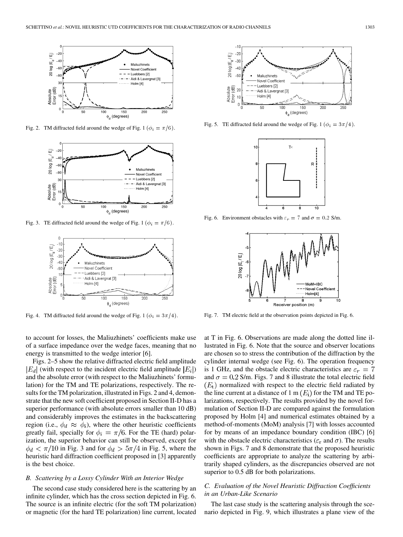<span id="page-2-0"></span>

Fig. 2. TM diffracted field around the wedge of [Fig. 1](#page-1-0) ( $\phi_i = \pi/6$ ).



Fig. 3. TE diffracted field around the wedge of [Fig. 1](#page-1-0) ( $\phi_i = \pi/6$ ).



Fig. 4. TM diffracted field around the wedge of [Fig. 1](#page-1-0) ( $\phi_i = 3\pi/4$ ).

to account for losses, the Maliuzhinets' coefficients make use of a surface impedance over the wedge faces, meaning that no energy is transmitted to the wedge interior [\[6\].](#page-3-0)

Figs. 2–5 show the relative diffracted electric field amplitude  $|E_d|$  (with respect to the incident electric field amplitude  $|E_i|$ ) and the absolute error (with respect to the Maliuzhinets' formulation) for the TM and TE polarizations, respectively. The results for the TM polarization, illustrated in Figs. 2 and 4, demonstrate that the new soft coefficient proposed in [Section II-D](#page-1-0) has a superior performance (with absolute errors smaller than 10 dB) and considerably improves the estimates in the backscattering region (i.e.,  $\phi_d \approx \phi_i$ ), where the other heuristic coefficients greatly fail, specially for  $\phi_i = \pi/6$ . For the TE (hard) polarization, the superior behavior can still be observed, except for  $\phi_d < \pi/10$  in Fig. 3 and for  $\phi_d > 5\pi/4$  in Fig. 5, where the heuristic hard diffraction coefficient proposed in [\[3\]](#page-3-0) apparently is the best choice.

# *B. Scattering by a Lossy Cylinder With an Interior Wedge*

The second case study considered here is the scattering by an infinite cylinder, which has the cross section depicted in Fig. 6. The source is an infinite electric (for the soft TM polarization) or magnetic (for the hard TE polarization) line current, located



Fig. 5. TE diffracted field around the wedge of [Fig. 1](#page-1-0) ( $\phi_i = 3\pi/4$ ).



Fig. 6. Environment obstacles with  $\varepsilon_r = 7$  and  $\sigma = 0.2$  S/m.



Fig. 7. TM electric field at the observation points depicted in Fig. 6.

at T in Fig. 6. Observations are made along the dotted line illustrated in Fig. 6. Note that the source and observer locations are chosen so to stress the contribution of the diffraction by the cylinder internal wedge (see Fig. 6). The operation frequency is 1 GHz, and the obstacle electric characteristics are  $\varepsilon_r = 7$ and  $\sigma = 0.2$  S/m. Figs. 7 and [8](#page-3-0) illustrate the total electric field  $(E_t)$  normalized with respect to the electric field radiated by the line current at a distance of 1 m  $(E_i)$  for the TM and TE polarizations, respectively. The results provided by the novel formulation of [Section II-D](#page-1-0) are compared against the formulation proposed by Holm [\[4\]](#page-3-0) and numerical estimates obtained by a method-of-moments (MoM) analysis [\[7\]](#page-3-0) with losses accounted for by means of an impedance boundary condition (IBC) [\[6\]](#page-3-0) with the obstacle electric characteristics ( $\varepsilon_r$  and  $\sigma$ ). The results shown in Figs. 7 and [8](#page-3-0) demonstrate that the proposed heuristic coefficients are appropriate to analyze the scattering by arbitrarily shaped cylinders, as the discrepancies observed are not superior to  $0.5$  dB for both polarizations.

# *C. Evaluation of the Novel Heuristic Diffraction Coefficients in an Urban-Like Scenario*

The last case study is the scattering analysis through the scenario depicted in [Fig. 9](#page-3-0), which illustrates a plane view of the